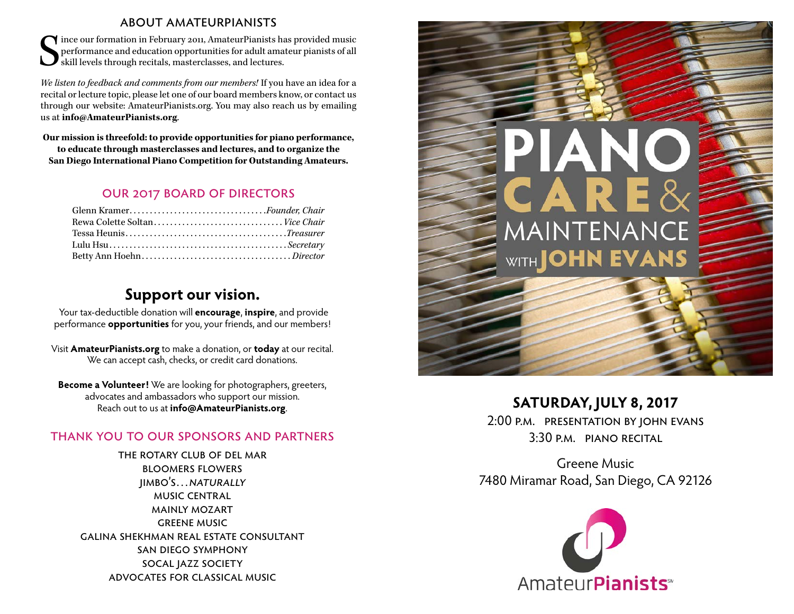#### about amateurpianists

S ince our formation in February 2011, AmateurPianists has provided music performance and education opportunities for adult amateur pianists of all skill levels through recitals, masterclasses, and lectures.

*We listen to feedback and comments from our members!* If you have an idea for a recital or lecture topic, please let one of our board members know, or contact us through our website: AmateurPianists.org. You may also reach us by emailing us at **info@AmateurPianists.org**.

**Our mission is threefold: to provide opportunities for piano performance, to educate through masterclasses and lectures, and to organize the San Diego International Piano Competition for Outstanding Amateurs.**

### our 2017 board of directors

| Glenn Kramer <i>.Founder, Chair</i> |  |
|-------------------------------------|--|
|                                     |  |
|                                     |  |
|                                     |  |
|                                     |  |

## **Support our vision.**

Your tax-deductible donation will **encourage**, **inspire**, and provide performance **opportunities** for you, your friends, and our members!

Visit **AmateurPianists.org** to make a donation, or **today** at our recital. We can accept cash, checks, or credit card donations.

**Become a Volunteer!** We are looking for photographers, greeters, advocates and ambassadors who support our mission. Reach out to us at **info@AmateurPianists.org**.

### thank you to our sponsors and partners

the rotary club of del mar bloomers flowers jimbo's…naturally music central mainly mozart greene music galina shekhman real estate consultant san diego symphony socal jazz society advocates for classical music



### **SATURDAY, JULY 8, 2017**

2:00 p.m. presentation by john evans 3:30 p.m. piano recital

Greene Music 7480 Miramar Road, San Diego, CA 92126